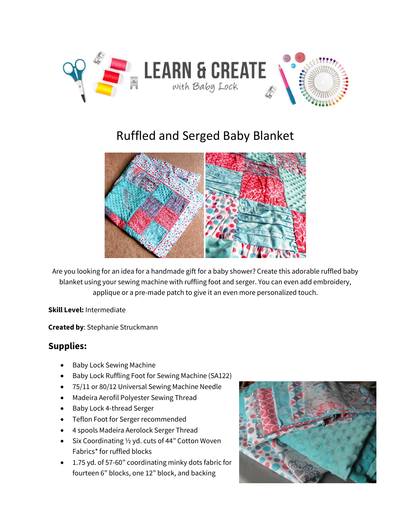

# Ruffled and Serged Baby Blanket



Are you looking for an idea for a handmade gift for a baby shower? Create this adorable ruffled baby blanket using your sewing machine with ruffling foot and serger. You can even add embroidery, applique or a pre-made patch to give it an even more personalized touch.

**Skill Level:** Intermediate

**Created by**: Stephanie Struckmann

#### **Supplies:**

- Baby Lock Sewing Machine
- Baby Lock Ruffling Foot for Sewing Machine (SA122)
- 75/11 or 80/12 Universal Sewing Machine Needle
- Madeira Aerofil Polyester Sewing Thread
- Baby Lock 4-thread Serger
- Teflon Foot for Serger recommended
- 4 spools Madeira Aerolock Serger Thread
- Six Coordinating 1/2 yd. cuts of 44" Cotton Woven Fabrics\* for ruffled blocks
- 1.75 yd. of 57-60" coordinating minky dots fabric for fourteen 6" blocks, one 12" block, and backing

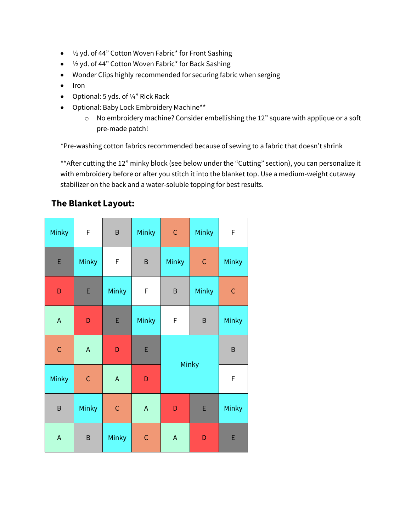- ½ yd. of 44" Cotton Woven Fabric\* for Front Sashing
- ½ yd. of 44" Cotton Woven Fabric\* for Back Sashing
- Wonder Clips highly recommended for securing fabric when serging
- Iron
- Optional: 5 yds. of 1/4" Rick Rack
- Optional: Baby Lock Embroidery Machine\*\*
	- o No embroidery machine? Consider embellishing the 12" square with applique or a soft pre-made patch!

\*Pre-washing cotton fabrics recommended because of sewing to a fabric that doesn't shrink

\*\* After cutting the 12" minky block (see below under the "Cutting" section), you can personalize it with embroidery before or after you stitch it into the blanket top. Use a medium-weight cutaway stabilizer on the back and a water-soluble topping for best results.

#### **The Blanket Layout:**

| Minky       | $\mathsf F$ | $\sf B$     | Minky       | $\mathsf C$  | Minky       | F           |
|-------------|-------------|-------------|-------------|--------------|-------------|-------------|
| E           | Minky       | F           | $\sf B$     | Minky        | $\mathsf C$ | Minky       |
| D           | E           | Minky       | F           | B            | Minky       | $\mathsf C$ |
| $\mathsf A$ | D           | E           | Minky       | F            | $\sf B$     | Minky       |
| $\mathsf C$ | $\mathsf A$ | D           | E           | Minky        |             | $\sf B$     |
| Minky       | $\mathsf C$ | $\mathsf A$ | D           |              |             | $\mathsf F$ |
| $\sf B$     | Minky       | $\mathsf C$ | $\mathsf A$ | D            | E           | Minky       |
| $\mathsf A$ | $\sf B$     | Minky       | $\mathsf C$ | $\mathsf{A}$ | D           | E           |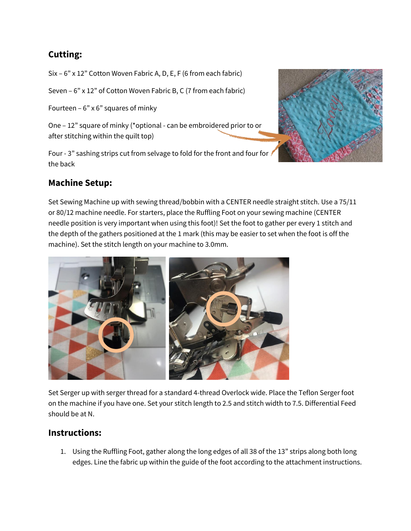## **Cutting:**

Six – 6" x 12" Cotton Woven Fabric A, D, E, F (6 from each fabric)

Seven – 6" x 12" of Cotton Woven Fabric B, C (7 from each fabric)

Fourteen –  $6"$  x  $6"$  squares of minky

One – 12" square of minky (\*optional - can be embroidered prior to or after stitching within the quilt top)

Four - 3" sashing strips cut from selvage to fold for the front and four for the back

## **Machine Setup:**

Set Sewing Machine up with sewing thread/bobbin with a CENTER needle straight stitch. Use a 75/11 or 80/12 machine needle. For starters, place the Ruffling Foot on your sewing machine (CENTER needle position is very important when using this foot)! Set the foot to gather per every 1 stitch and the depth of the gathers positioned at the 1 mark (this may be easier to set when the foot is off the machine). Set the stitch length on your machine to 3.0mm.



Set Serger up with serger thread for a standard 4-thread Overlock wide. Place the Teflon Serger foot on the machine if you have one. Set your stitch length to 2.5 and stitch width to 7.5. Differential Feed should be at N.

### **Instructions:**

1. Using the Ruffling Foot, gather along the long edges of all 38 of the 13" strips along both long edges. Line the fabric up within the guide of the foot according to the attachment instructions.

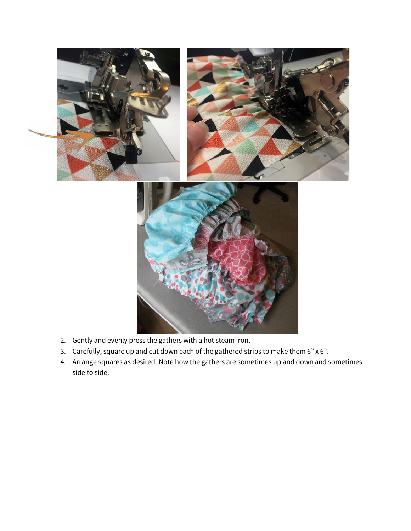

- 2. Gently and evenly press the gathers with a hot steam iron.
- 3. Carefully, square up and cut down each of the gathered strips to make them 6" x 6".
- 4. Arrange squares as desired. Note how the gathers are sometimes up and down and sometimes side to side.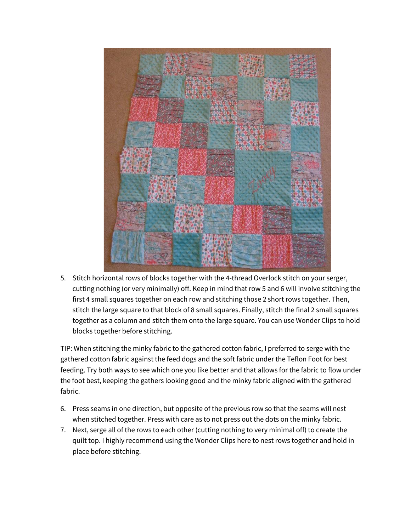

5. Stitch horizontal rows of blocks together with the 4-thread Overlock stitch on your serger, cutting nothing (or very minimally) off. Keep in mind that row 5 and 6 will involve stitching the first 4 small squares together on each row and stitching those 2 short rows together. Then, stitch the large square to that block of 8 small squares. Finally, stitch the final 2 small squares together as a column and stitch them onto the large square. You can use Wonder Clips to hold blocks together before stitching.

TIP: When stitching the minky fabric to the gathered cotton fabric, I preferred to serge with the gathered cotton fabric against the feed dogs and the soft fabric under the Teflon Foot for best feeding. Try both ways to see which one you like better and that allows for the fabric to flow under the foot best, keeping the gathers looking good and the minky fabric aligned with the gathered fabric.

- 6. Press seams in one direction, but opposite of the previous row so that the seams will nest when stitched together. Press with care as to not press out the dots on the minky fabric.
- 7. Next, serge all of the rows to each other (cutting nothing to very minimal off) to create the quilt top. I highly recommend using the Wonder Clips here to nest rows together and hold in place before stitching.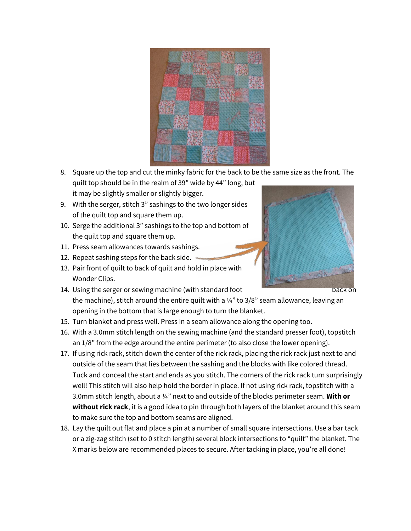

- 8. Square up the top and cut the minky fabric for the back to be the same size as the front. The quilt top should be in the realm of 39" wide by 44" long, but it may be slightly smaller or slightly bigger.
- 9. With the serger, stitch 3" sashings to the two longer sides of the quilt top and square them up.
- 10. Serge the additional 3" sashings to the top and bottom of the quilt top and square them up.
- 11. Press seam allowances towards sashings.
- 12. Repeat sashing steps for the back side.
- 13. Pair front of quilt to back of quilt and hold in place with Wonder Clips.
- 14. Using the serger or sewing machine (with standard foot back on back on the machine), stitch around the entire quilt with a  $\frac{1}{4}$ " to 3/8" seam allowance, leaving an opening in the bottom that is large enough to turn the blanket.
- 15. Turn blanket and press well. Press in a seam allowance along the opening too.
- 16. With a 3.0mm stitch length on the sewing machine (and the standard presser foot), topstitch an 1/8" from the edge around the entire perimeter (to also close the lower opening).
- 17. If using rick rack, stitch down the center of the rick rack, placing the rick rack just next to and outside of the seam that lies between the sashing and the blocks with like colored thread. Tuck and conceal the start and ends as you stitch. The corners of the rick rack turn surprisingly well! This stitch will also help hold the border in place. If not using rick rack, topstitch with a 3.0mm stitch length, about a ¼" next to and outside of the blocks perimeter seam. **With or without rick rack**, it is a good idea to pin through both layers of the blanket around this seam to make sure the top and bottom seams are aligned.
- 18. Lay the quilt out flat and place a pin at a number of small square intersections. Use a bar tack or a zig-zag stitch (set to 0 stitch length) several block intersections to "quilt" the blanket. The X marks below are recommended places to secure. After tacking in place, you're all done!